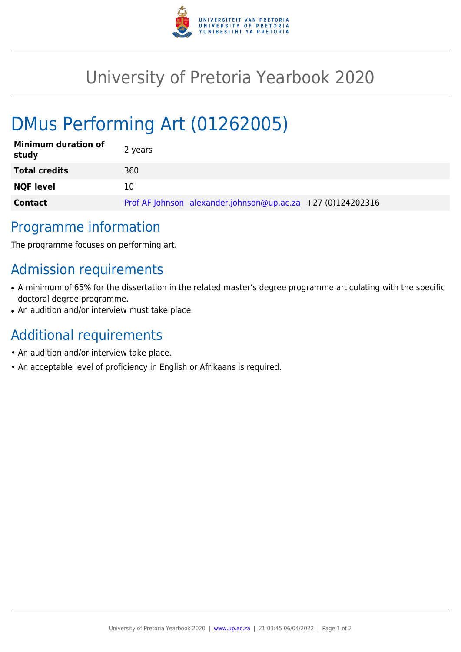

# University of Pretoria Yearbook 2020

# DMus Performing Art (01262005)

| <b>Minimum duration of</b><br>study | 2 years                                                     |
|-------------------------------------|-------------------------------------------------------------|
| <b>Total credits</b>                | 360                                                         |
| <b>NQF level</b>                    | 10                                                          |
| <b>Contact</b>                      | Prof AF Johnson alexander.johnson@up.ac.za +27 (0)124202316 |

### Programme information

The programme focuses on performing art.

# Admission requirements

- A minimum of 65% for the dissertation in the related master's degree programme articulating with the specific doctoral degree programme.
- An audition and/or interview must take place.

## Additional requirements

- An audition and/or interview take place.
- An acceptable level of proficiency in English or Afrikaans is required.